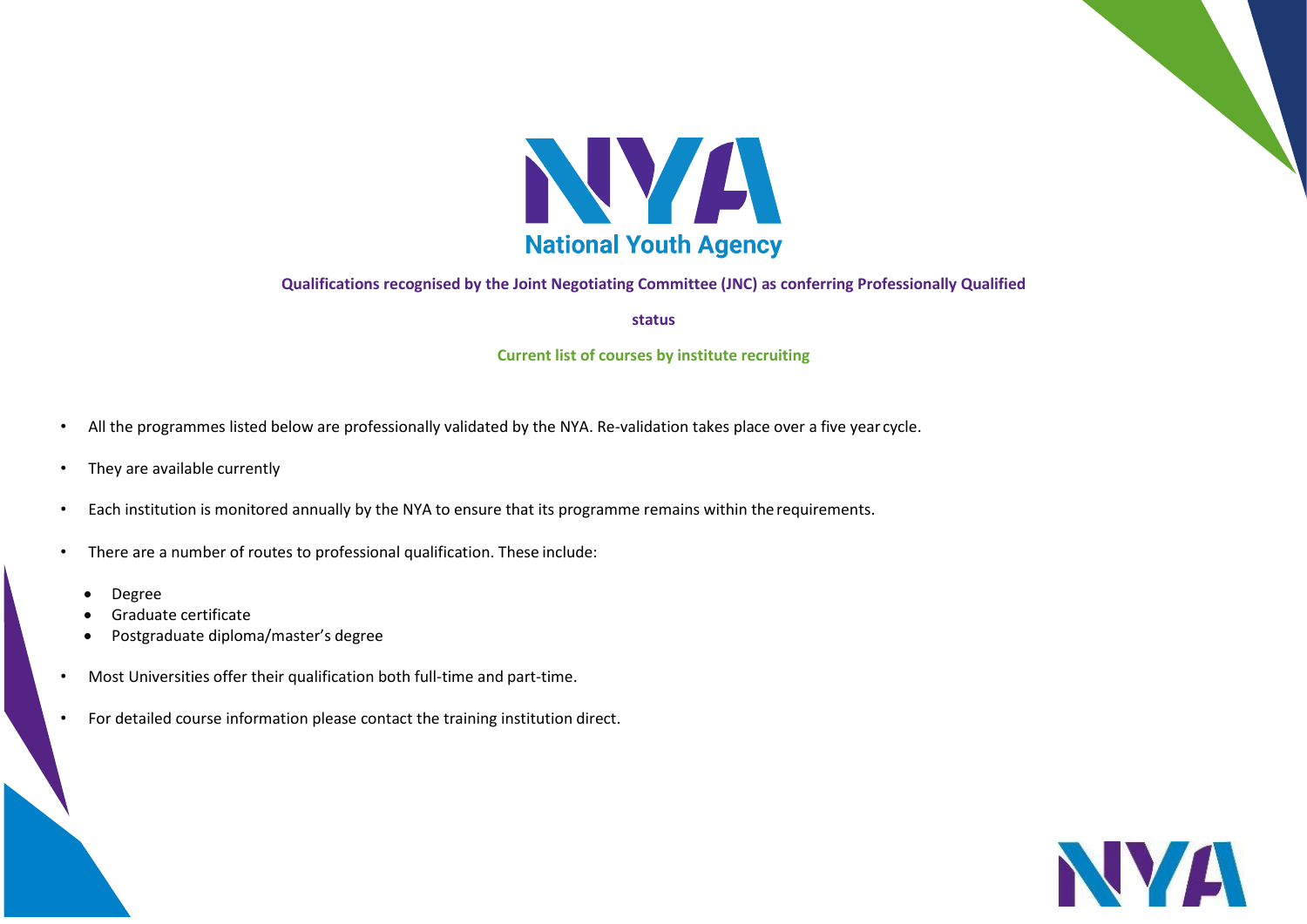

## **Qualifications recognised by the Joint Negotiating Committee (JNC) as conferring Professionally Qualified**

**status**

## **Current list of courses by institute recruiting**

- All the programmes listed below are professionally validated by the NYA. Re-validation takes place over a five year cycle.
- They are available currently
- Each institution is monitored annually by the NYA to ensure that its programme remains within the requirements.
- There are a number of routes to professional qualification. These include:
	- Degree
	- Graduate certificate
	- Postgraduate diploma/master's degree
- Most Universities offer their qualification both full-time and part-time.
- For detailed course information please contact the training institution direct.

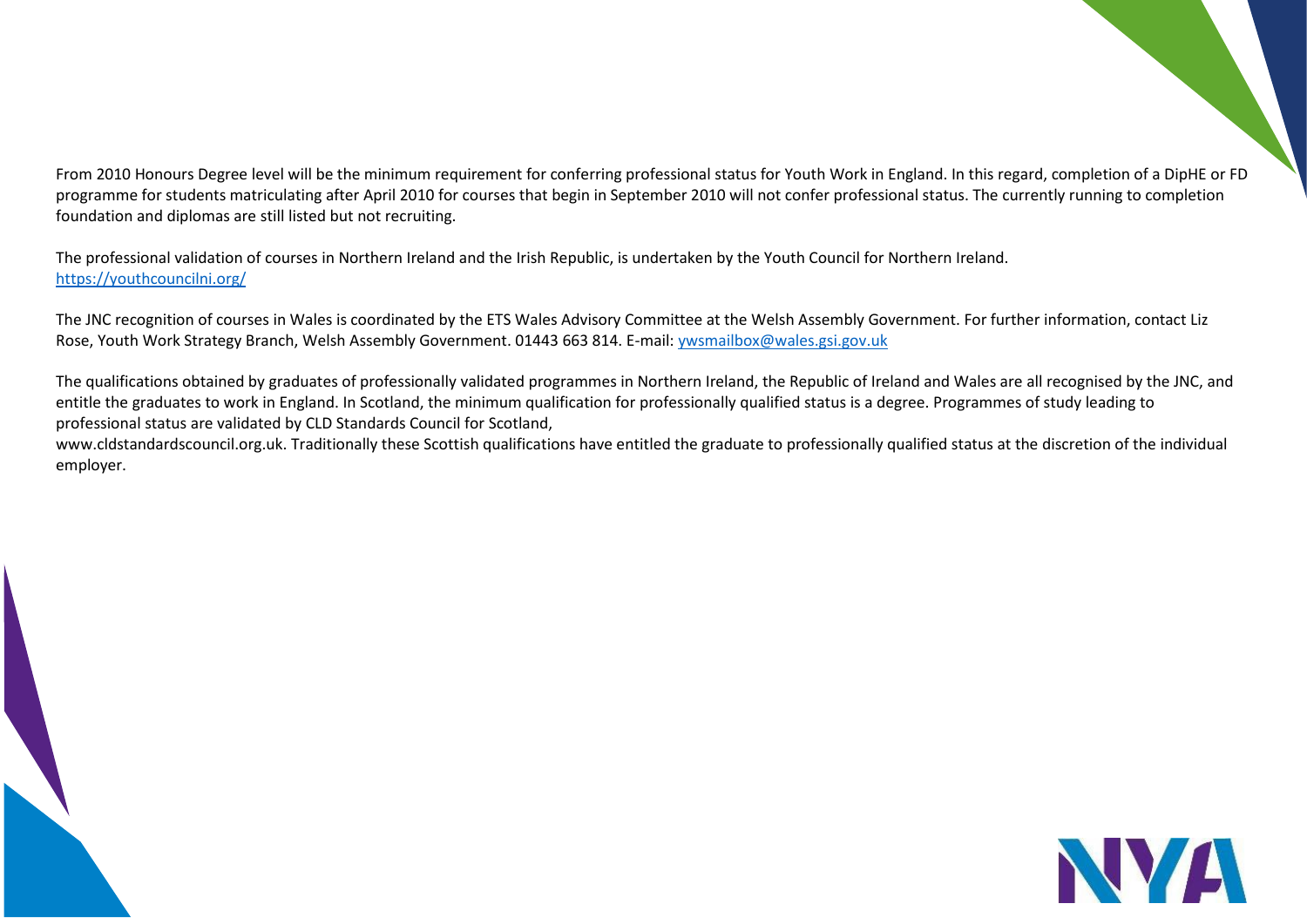From 2010 Honours Degree level will be the minimum requirement for conferring professional status for Youth Work in England. In this regard, completion of a DipHE or FD programme for students matriculating after April 2010 for courses that begin in September 2010 will not confer professional status. The currently running to completion foundation and diplomas are still listed but not recruiting.

The professional validation of courses in Northern Ireland and the Irish Republic, is undertaken by the Youth Council for Northern Ireland. <https://youthcouncilni.org/>

The JNC recognition of courses in Wales is coordinated by the ETS Wales Advisory Committee at the Welsh Assembly Government. For further information, contact Liz Rose, Youth Work Strategy Branch, Welsh Assembly Government. 01443 663 814. E-mail[: ywsmailbox@wales.gsi.gov.uk](mailto:ywsmailbox@wales.gsi.gov.uk)

The qualifications obtained by graduates of professionally validated programmes in Northern Ireland, the Republic of Ireland and Wales are all recognised by the JNC, and entitle the graduates to work in England. In Scotland, the minimum qualification for professionally qualified status is a degree. Programmes of study leading to professional status are validated by CLD Standards Council for Scotland,

[www.cldstandardscouncil.org.uk. T](http://www.cldstandardscouncil.org.uk/)raditionally these Scottish qualifications have entitled the graduate to professionally qualified status at the discretion of the individual employer.

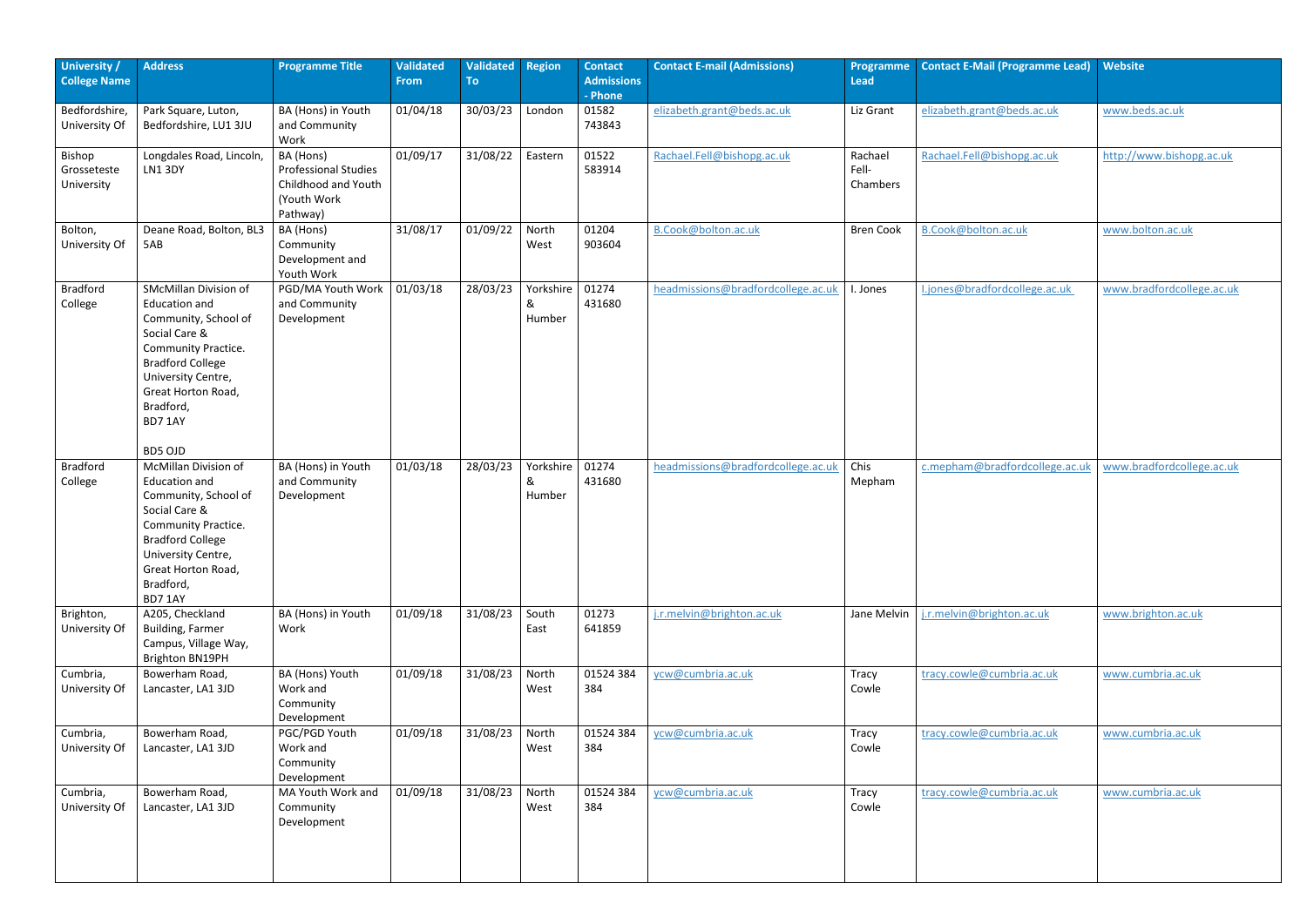| University /<br><b>College Name</b> | <b>Address</b>                                                                                                                                                                                                             | <b>Programme Title</b>                                                                     | <b>Validated</b><br><b>From</b> | <b>Validated</b><br>To | <b>Region</b>            | <b>Contact</b><br><b>Admissions</b><br>- Phone | <b>Contact E-mail (Admissions)</b> | <b>Programme</b><br>Lead     | <b>Contact E-Mail (Programme Lead)</b> | Website                   |
|-------------------------------------|----------------------------------------------------------------------------------------------------------------------------------------------------------------------------------------------------------------------------|--------------------------------------------------------------------------------------------|---------------------------------|------------------------|--------------------------|------------------------------------------------|------------------------------------|------------------------------|----------------------------------------|---------------------------|
| Bedfordshire,<br>University Of      | Park Square, Luton,<br>Bedfordshire, LU1 3JU                                                                                                                                                                               | BA (Hons) in Youth<br>and Community<br>Work                                                | 01/04/18                        | 30/03/23               | London                   | 01582<br>743843                                | elizabeth.grant@beds.ac.uk         | Liz Grant                    | elizabeth.grant@beds.ac.uk             | www.beds.ac.uk            |
| Bishop<br>Grosseteste<br>University | Longdales Road, Lincoln,<br>LN1 3DY                                                                                                                                                                                        | BA (Hons)<br><b>Professional Studies</b><br>Childhood and Youth<br>(Youth Work<br>Pathway) | 01/09/17                        | 31/08/22               | Eastern                  | 01522<br>583914                                | Rachael.Fell@bishopg.ac.uk         | Rachael<br>Fell-<br>Chambers | Rachael.Fell@bishopg.ac.uk             | http://www.bishopg.ac.uk  |
| Bolton,<br>University Of            | Deane Road, Bolton, BL3<br>5AB                                                                                                                                                                                             | BA (Hons)<br>Community<br>Development and<br>Youth Work                                    | 31/08/17                        | 01/09/22               | North<br>West            | 01204<br>903604                                | B.Cook@bolton.ac.uk                | <b>Bren Cook</b>             | B.Cook@bolton.ac.uk                    | www.bolton.ac.uk          |
| <b>Bradford</b><br>College          | <b>SMcMillan Division of</b><br><b>Education and</b><br>Community, School of<br>Social Care &<br><b>Community Practice.</b><br><b>Bradford College</b><br>University Centre,<br>Great Horton Road,<br>Bradford,<br>BD7 1AY | PGD/MA Youth Work<br>and Community<br>Development                                          | 01/03/18                        | 28/03/23               | Yorkshire<br>&<br>Humber | 01274<br>431680                                | headmissions@bradfordcollege.ac.uk | Jones                        | I.jones@bradfordcollege.ac.uk          | www.bradfordcollege.ac.uk |
|                                     | BD5 OJD                                                                                                                                                                                                                    |                                                                                            |                                 |                        |                          |                                                |                                    |                              |                                        |                           |
| <b>Bradford</b><br>College          | <b>McMillan Division of</b><br><b>Education and</b><br>Community, School of<br>Social Care &<br><b>Community Practice.</b><br><b>Bradford College</b><br>University Centre,<br>Great Horton Road,<br>Bradford,<br>BD7 1AY  | BA (Hons) in Youth<br>and Community<br>Development                                         | 01/03/18                        | 28/03/23               | Yorkshire<br>&<br>Humber | 01274<br>431680                                | headmissions@bradfordcollege.ac.uk | Chis<br>Mepham               | c.mepham@bradfordcollege.ac.uk         | www.bradfordcollege.ac.uk |
| Brighton,<br>University Of          | A205, Checkland<br><b>Building, Farmer</b><br>Campus, Village Way,<br>Brighton BN19PH                                                                                                                                      | BA (Hons) in Youth<br>Work                                                                 | 01/09/18                        | 31/08/23               | South<br>East            | 01273<br>641859                                | j.r.melvin@brighton.ac.uk          | Jane Melvin                  | j.r.melvin@brighton.ac.uk              | www.brighton.ac.uk        |
| Cumbria,<br>University Of           | Bowerham Road,<br>Lancaster, LA1 3JD                                                                                                                                                                                       | BA (Hons) Youth<br>Work and<br>Community<br>Development                                    | 01/09/18                        | 31/08/23               | North<br>West            | 01524 384<br>384                               | ycw@cumbria.ac.uk                  | Tracy<br>Cowle               | tracy.cowle@cumbria.ac.uk              | www.cumbria.ac.uk         |
| Cumbria,<br>University Of           | Bowerham Road,<br>Lancaster, LA1 3JD                                                                                                                                                                                       | PGC/PGD Youth<br>Work and<br>Community<br>Development                                      | 01/09/18                        | 31/08/23               | North<br>West            | 01524 384<br>384                               | ycw@cumbria.ac.uk                  | Tracy<br>Cowle               | tracy.cowle@cumbria.ac.uk              | www.cumbria.ac.uk         |
| Cumbria,<br>University Of           | Bowerham Road,<br>Lancaster, LA1 3JD                                                                                                                                                                                       | MA Youth Work and<br>Community<br>Development                                              | 01/09/18                        | 31/08/23               | North<br>West            | 01524 384<br>384                               | ycw@cumbria.ac.uk                  | Tracy<br>Cowle               | tracy.cowle@cumbria.ac.uk              | www.cumbria.ac.uk         |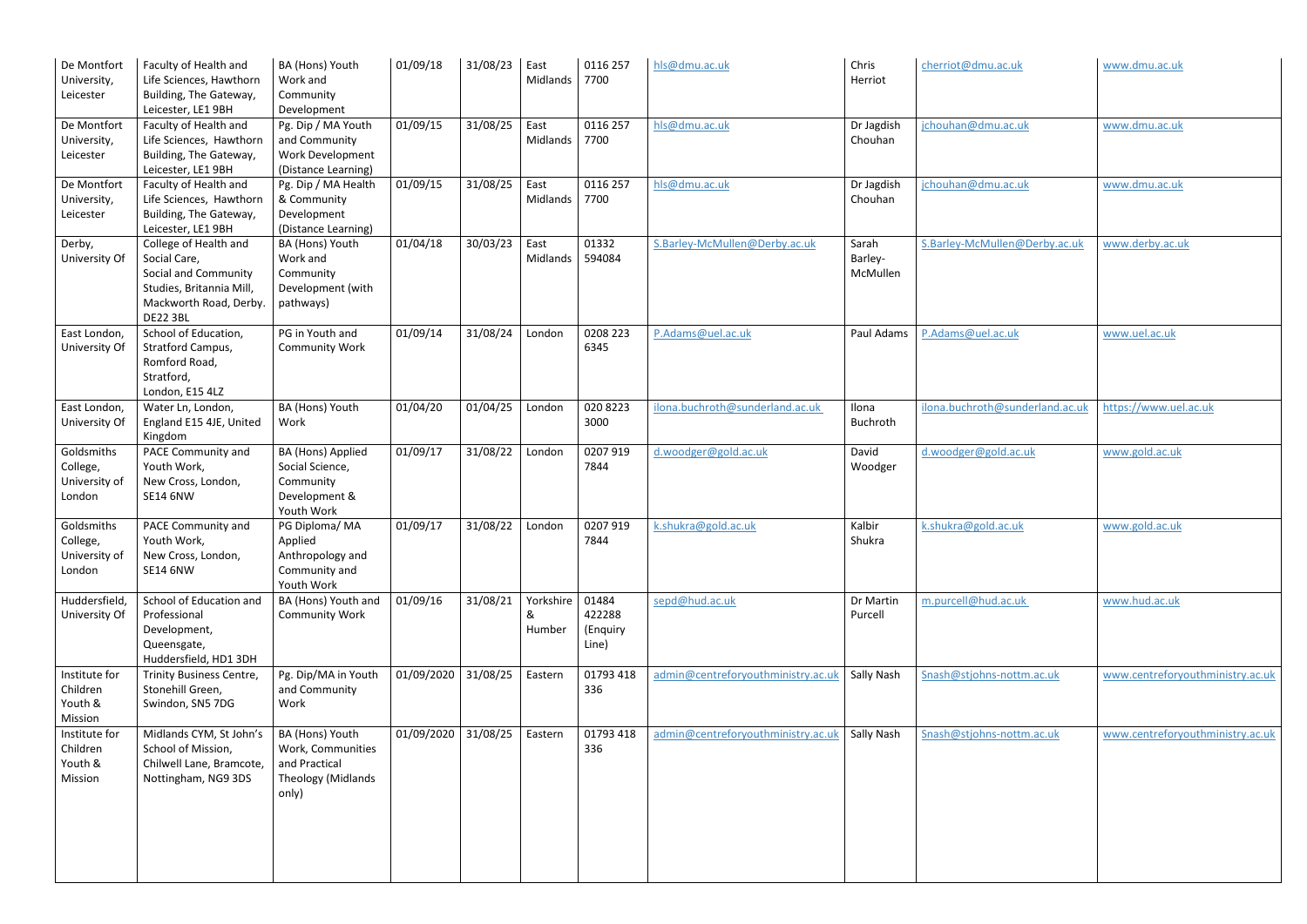| De Montfort<br>University,<br>Leicester           | Faculty of Health and<br>Life Sciences, Hawthorn<br>Building, The Gateway,<br>Leicester, LE1 9BH                                       | BA (Hons) Youth<br>Work and<br>Community<br>Development                                     | 01/09/18            | 31/08/23 | East<br>Midlands         | 0116 257<br>7700                     | hls@dmu.ac.uk                      | Chris<br>Herriot             | cherriot@dmu.ac.uk              | www.dmu.ac.uk                    |
|---------------------------------------------------|----------------------------------------------------------------------------------------------------------------------------------------|---------------------------------------------------------------------------------------------|---------------------|----------|--------------------------|--------------------------------------|------------------------------------|------------------------------|---------------------------------|----------------------------------|
| De Montfort<br>University,<br>Leicester           | Faculty of Health and<br>Life Sciences, Hawthorn<br>Building, The Gateway,<br>Leicester, LE1 9BH                                       | Pg. Dip / MA Youth<br>and Community<br>Work Development<br>(Distance Learning)              | 01/09/15            | 31/08/25 | East<br>Midlands         | 0116 257<br>7700                     | hls@dmu.ac.uk                      | Dr Jagdish<br>Chouhan        | jchouhan@dmu.ac.uk              | www.dmu.ac.uk                    |
| De Montfort<br>University,<br>Leicester           | Faculty of Health and<br>Life Sciences, Hawthorn<br>Building, The Gateway,<br>Leicester, LE1 9BH                                       | Pg. Dip / MA Health<br>& Community<br>Development<br>(Distance Learning)                    | 01/09/15            | 31/08/25 | East<br>Midlands         | 0116 257<br>7700                     | hls@dmu.ac.uk                      | Dr Jagdish<br>Chouhan        | jchouhan@dmu.ac.uk              | www.dmu.ac.uk                    |
| Derby,<br>University Of                           | College of Health and<br>Social Care,<br>Social and Community<br>Studies, Britannia Mill,<br>Mackworth Road, Derby.<br><b>DE22 3BL</b> | BA (Hons) Youth<br>Work and<br>Community<br>Development (with<br>pathways)                  | 01/04/18            | 30/03/23 | East<br>Midlands         | 01332<br>594084                      | S.Barley-McMullen@Derby.ac.uk      | Sarah<br>Barley-<br>McMullen | S.Barley-McMullen@Derby.ac.uk   | www.derby.ac.uk                  |
| East London,<br>University Of                     | School of Education,<br>Stratford Campus,<br>Romford Road,<br>Stratford,<br>London, E15 4LZ                                            | PG in Youth and<br><b>Community Work</b>                                                    | 01/09/14            | 31/08/24 | London                   | 0208 223<br>6345                     | P.Adams@uel.ac.uk                  | Paul Adams                   | P.Adams@uel.ac.uk               | www.uel.ac.uk                    |
| East London,<br>University Of                     | Water Ln, London,<br>England E15 4JE, United<br>Kingdom                                                                                | BA (Hons) Youth<br>Work                                                                     | 01/04/20            | 01/04/25 | London                   | 020 8223<br>3000                     | ilona.buchroth@sunderland.ac.uk    | Ilona<br>Buchroth            | ilona.buchroth@sunderland.ac.uk | https://www.uel.ac.uk            |
| Goldsmiths<br>College,<br>University of<br>London | PACE Community and<br>Youth Work,<br>New Cross, London,<br><b>SE14 6NW</b>                                                             | BA (Hons) Applied<br>Social Science,<br>Community<br>Development &<br>Youth Work            | 01/09/17            | 31/08/22 | London                   | 0207 919<br>7844                     | d.woodger@gold.ac.uk               | David<br>Woodger             | d.woodger@gold.ac.uk            | www.gold.ac.uk                   |
| Goldsmiths<br>College,<br>University of<br>London | PACE Community and<br>Youth Work,<br>New Cross, London,<br><b>SE14 6NW</b>                                                             | PG Diploma/MA<br>Applied<br>Anthropology and<br>Community and<br>Youth Work                 | 01/09/17            | 31/08/22 | London                   | 0207 919<br>7844                     | k.shukra@gold.ac.uk                | Kalbir<br>Shukra             | k.shukra@gold.ac.uk             | www.gold.ac.uk                   |
| Huddersfield,<br>University Of                    | School of Education and<br>Professional<br>Development,<br>Queensgate,<br>Huddersfield, HD1 3DH                                        | BA (Hons) Youth and<br><b>Community Work</b>                                                | 01/09/16            | 31/08/21 | Yorkshire<br>&<br>Humber | 01484<br>422288<br>(Enquiry<br>Line) | sepd@hud.ac.uk                     | Dr Martin<br>Purcell         | m.purcell@hud.ac.uk             | www.hud.ac.uk                    |
| Institute for<br>Children<br>Youth &<br>Mission   | Trinity Business Centre,<br>Stonehill Green,<br>Swindon, SN5 7DG                                                                       | Pg. Dip/MA in Youth<br>and Community<br>Work                                                | 01/09/2020 31/08/25 |          | Eastern                  | 01793 418<br>336                     | admin@centreforyouthministry.ac.uk | Sally Nash                   | Snash@stjohns-nottm.ac.uk       | www.centreforyouthministry.ac.uk |
| Institute for<br>Children<br>Youth &<br>Mission   | Midlands CYM, St John's<br>School of Mission,<br>Chilwell Lane, Bramcote,<br>Nottingham, NG9 3DS                                       | BA (Hons) Youth<br>Work, Communities<br>and Practical<br><b>Theology (Midlands</b><br>only) | 01/09/2020 31/08/25 |          | Eastern                  | 01793 418<br>336                     | admin@centreforyouthministry.ac.uk | Sally Nash                   | Snash@stjohns-nottm.ac.uk       | www.centreforyouthministry.ac.uk |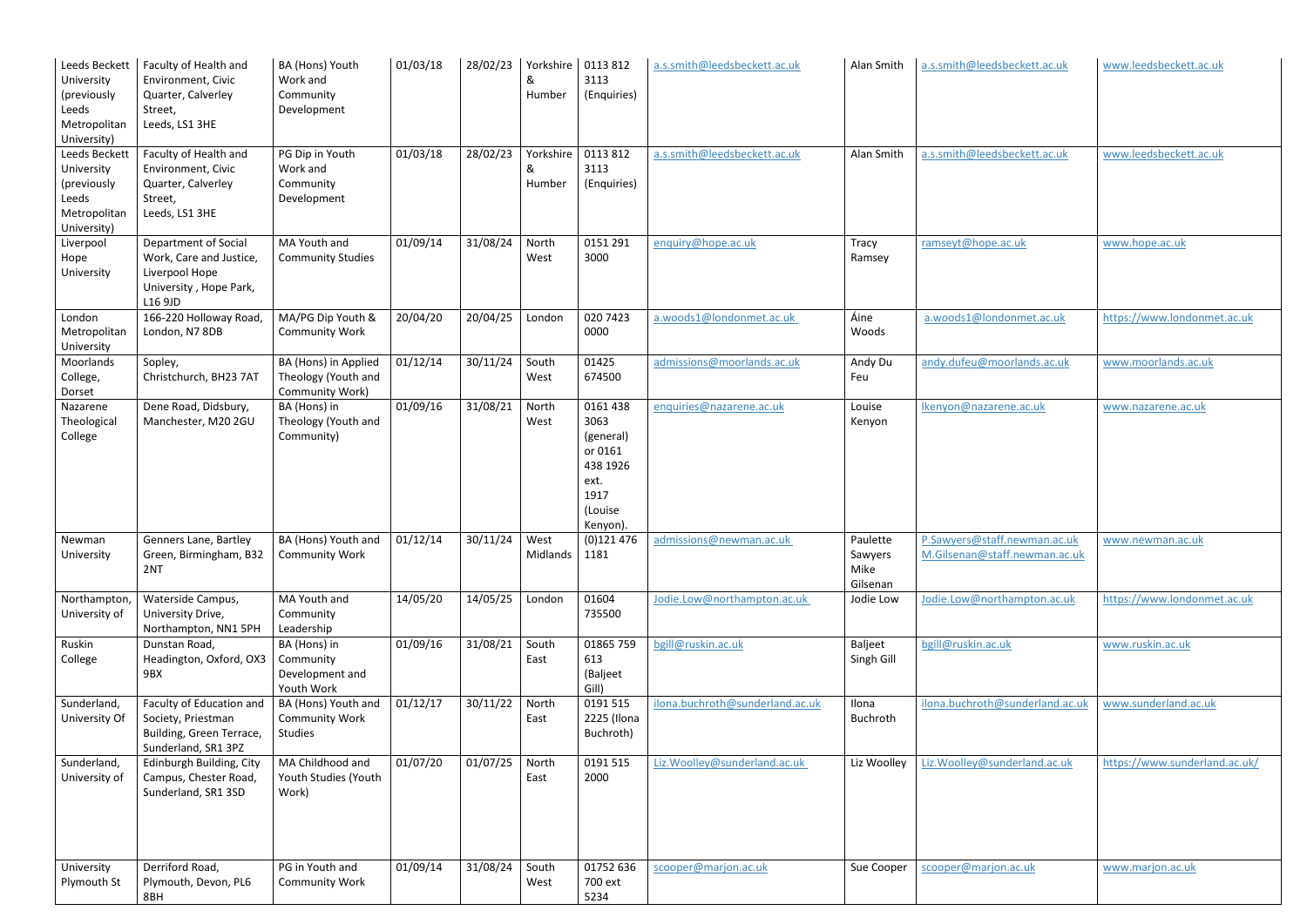| Leeds Beckett<br>University<br>(previously<br>Leeds<br>Metropolitan<br>University) | Faculty of Health and<br>Environment, Civic<br>Quarter, Calverley<br>Street,<br>Leeds, LS1 3HE         | BA (Hons) Youth<br>Work and<br>Community<br>Development        | 01/03/18 | 28/02/23        | &<br>Humber              | Yorkshire   0113 812<br>3113<br>(Enquiries)                                                 | a.s.smith@leedsbeckett.ac.uk    | Alan Smith                              | a.s.smith@leedsbeckett.ac.uk                                  | www.leedsbeckett.ac.uk        |
|------------------------------------------------------------------------------------|--------------------------------------------------------------------------------------------------------|----------------------------------------------------------------|----------|-----------------|--------------------------|---------------------------------------------------------------------------------------------|---------------------------------|-----------------------------------------|---------------------------------------------------------------|-------------------------------|
| Leeds Beckett<br>University<br>(previously<br>Leeds<br>Metropolitan<br>University) | Faculty of Health and<br>Environment, Civic<br>Quarter, Calverley<br>Street,<br>Leeds, LS1 3HE         | PG Dip in Youth<br>Work and<br>Community<br>Development        | 01/03/18 | 28/02/23        | Yorkshire<br>&<br>Humber | 0113812<br>3113<br>(Enquiries)                                                              | a.s.smith@leedsbeckett.ac.uk    | Alan Smith                              | a.s.smith@leedsbeckett.ac.uk                                  | www.leedsbeckett.ac.uk        |
| Liverpool<br>Hope<br>University                                                    | Department of Social<br>Work, Care and Justice,<br>Liverpool Hope<br>University, Hope Park,<br>L16 9JD | MA Youth and<br><b>Community Studies</b>                       | 01/09/14 | 31/08/24        | North<br>West            | 0151 291<br>3000                                                                            | enquiry@hope.ac.uk              | Tracy<br>Ramsey                         | ramseyt@hope.ac.uk                                            | www.hope.ac.uk                |
| London<br>Metropolitan<br>University                                               | 166-220 Holloway Road,<br>London, N7 8DB                                                               | MA/PG Dip Youth &<br><b>Community Work</b>                     | 20/04/20 | 20/04/25        | London                   | 020 7423<br>0000                                                                            | a.woods1@londonmet.ac.uk        | Áine<br>Woods                           | a.woods1@londonmet.ac.uk                                      | https://www.londonmet.ac.uk   |
| Moorlands<br>College,<br>Dorset                                                    | Sopley,<br>Christchurch, BH23 7AT                                                                      | BA (Hons) in Applied<br>Theology (Youth and<br>Community Work) | 01/12/14 | 30/11/24        | South<br>West            | 01425<br>674500                                                                             | admissions@moorlands.ac.uk      | Andy Du<br>Feu                          | andy.dufeu@moorlands.ac.uk                                    | www.moorlands.ac.uk           |
| Nazarene<br>Theological<br>College                                                 | Dene Road, Didsbury,<br>Manchester, M20 2GU                                                            | BA (Hons) in<br>Theology (Youth and<br>Community)              | 01/09/16 | 31/08/21        | North<br>West            | 0161 438<br>3063<br>(general)<br>or 0161<br>438 1926<br>ext.<br>1917<br>(Louise<br>Kenyon). | enquiries@nazarene.ac.uk        | Louise<br>Kenyon                        | Ikenyon@nazarene.ac.uk                                        | www.nazarene.ac.uk            |
| Newman<br>University                                                               | Genners Lane, Bartley<br>Green, Birmingham, B32<br>2NT                                                 | BA (Hons) Youth and $\vert$ 01/12/14<br><b>Community Work</b>  |          | 30/11/24   West | Midlands   1181          | (0)121 476                                                                                  | admissions@newman.ac.uk         | Paulette<br>Sawyers<br>Mike<br>Gilsenan | P.Sawyers@staff.newman.ac.uk<br>M.Gilsenan@staff.newman.ac.uk | www.newman.ac.uk              |
| Northampton,<br>University of                                                      | Waterside Campus,<br>University Drive,<br>Northampton, NN1 5PH                                         | MA Youth and<br>Community<br>Leadership                        | 14/05/20 | 14/05/25        | London                   | 01604<br>735500                                                                             | Jodie.Low@northampton.ac.uk     | Jodie Low                               | Jodie.Low@northampton.ac.uk                                   | https://www.londonmet.ac.uk   |
| Ruskin<br>College                                                                  | Dunstan Road,<br>Headington, Oxford, OX3<br>9BX                                                        | BA (Hons) in<br>Community<br>Development and<br>Youth Work     | 01/09/16 | 31/08/21        | South<br>East            | 01865 759<br>613<br>(Baljeet<br>Gill)                                                       | bgill@ruskin.ac.uk              | <b>Baljeet</b><br>Singh Gill            | bgill@ruskin.ac.uk                                            | www.ruskin.ac.uk              |
| Sunderland,<br>University Of                                                       | Faculty of Education and<br>Society, Priestman<br>Building, Green Terrace,<br>Sunderland, SR1 3PZ      | BA (Hons) Youth and<br><b>Community Work</b><br>Studies        | 01/12/17 | 30/11/22        | North<br>East            | 0191 515<br>2225 (Ilona<br>Buchroth)                                                        | ilona.buchroth@sunderland.ac.uk | Ilona<br>Buchroth                       | ilona.buchroth@sunderland.ac.uk                               | www.sunderland.ac.uk          |
| Sunderland,<br>University of                                                       | Edinburgh Building, City<br>Campus, Chester Road,<br>Sunderland, SR1 3SD                               | MA Childhood and<br>Youth Studies (Youth<br>Work)              | 01/07/20 | 01/07/25        | North<br>East            | 0191 515<br>2000                                                                            | Liz. Woolley@sunderland.ac.uk   | Liz Woolley                             | Liz. Woolley@sunderland.ac.uk                                 | https://www.sunderland.ac.uk/ |
| University<br>Plymouth St                                                          | Derriford Road,<br>Plymouth, Devon, PL6<br>8BH                                                         | PG in Youth and<br><b>Community Work</b>                       | 01/09/14 | 31/08/24        | South<br>West            | 01752 636<br>700 ext<br>5234                                                                | scooper@marjon.ac.uk            | Sue Cooper                              | scooper@marjon.ac.uk                                          | www.marjon.ac.uk              |